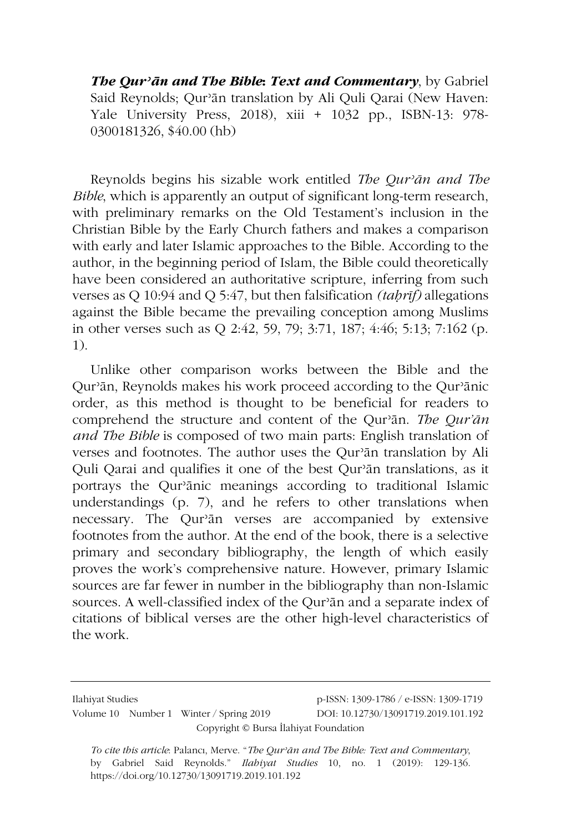*The Qurʾān and The Bible***:** *Text and Commentary*, by Gabriel Said Reynolds; Qurʾān translation by Ali Quli Qarai (New Haven: Yale University Press, 2018), xiii + 1032 pp., ISBN-13: 978- 0300181326, \$40.00 (hb)

Reynolds begins his sizable work entitled *The Qurʾān and The Bible*, which is apparently an output of significant long-term research, with preliminary remarks on the Old Testament's inclusion in the Christian Bible by the Early Church fathers and makes a comparison with early and later Islamic approaches to the Bible. According to the author, in the beginning period of Islam, the Bible could theoretically have been considered an authoritative scripture, inferring from such verses as Q 10:94 and Q 5:47, but then falsification *(taḥrīf)* allegations against the Bible became the prevailing conception among Muslims in other verses such as Q 2:42, 59, 79; 3:71, 187; 4:46; 5:13; 7:162 (p. 1).

Unlike other comparison works between the Bible and the Qurʾān, Reynolds makes his work proceed according to the Qurʾānic order, as this method is thought to be beneficial for readers to comprehend the structure and content of the Qurʾān. *The Qur'ān and The Bible* is composed of two main parts: English translation of verses and footnotes. The author uses the Qurʾān translation by Ali Quli Qarai and qualifies it one of the best Qurʾān translations, as it portrays the Qurʾānic meanings according to traditional Islamic understandings (p. 7), and he refers to other translations when necessary. The Qurʾān verses are accompanied by extensive footnotes from the author. At the end of the book, there is a selective primary and secondary bibliography, the length of which easily proves the work's comprehensive nature. However, primary Islamic sources are far fewer in number in the bibliography than non-Islamic sources. A well-classified index of the Qurʾān and a separate index of citations of biblical verses are the other high-level characteristics of the work.

Ilahiyat Studies p-ISSN: 1309-1786 / e-ISSN: 1309-1719 Volume 10 Number 1 Winter / Spring 2019 DOI: 10.12730/13091719.2019.101.192 Copyright © Bursa İlahiyat Foundation

*To cite this article*: Palancı, Merve. "*The Qurʾān and The Bible: Text and Commentary*, by Gabriel Said Reynolds." *Ilahiyat Studies* 10, no. 1 (2019): 129-136. https://doi.org/10.12730/13091719.2019.101.192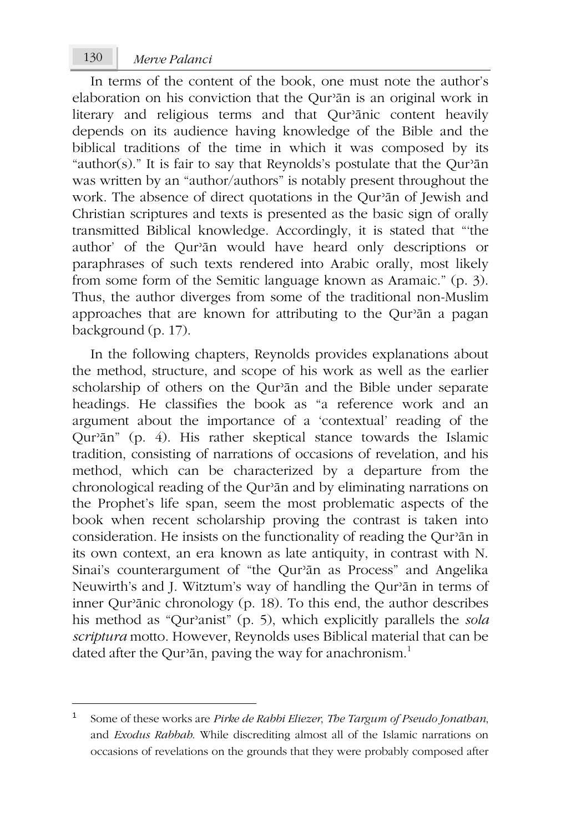In terms of the content of the book, one must note the author's elaboration on his conviction that the Qurʾān is an original work in literary and religious terms and that Qur'ānic content heavily depends on its audience having knowledge of the Bible and the biblical traditions of the time in which it was composed by its "author(s)." It is fair to say that Reynolds's postulate that the Qurʾān was written by an "author/authors" is notably present throughout the work. The absence of direct quotations in the Qurʾān of Jewish and Christian scriptures and texts is presented as the basic sign of orally transmitted Biblical knowledge. Accordingly, it is stated that "'the author' of the Qurʾān would have heard only descriptions or paraphrases of such texts rendered into Arabic orally, most likely from some form of the Semitic language known as Aramaic." (p. 3). Thus, the author diverges from some of the traditional non-Muslim approaches that are known for attributing to the Qurʾān a pagan background (p. 17).

In the following chapters, Reynolds provides explanations about the method, structure, and scope of his work as well as the earlier scholarship of others on the Qurʾān and the Bible under separate headings. He classifies the book as "a reference work and an argument about the importance of a 'contextual' reading of the Qurʾān" (p. 4). His rather skeptical stance towards the Islamic tradition, consisting of narrations of occasions of revelation, and his method, which can be characterized by a departure from the chronological reading of the Qurʾān and by eliminating narrations on the Prophet's life span, seem the most problematic aspects of the book when recent scholarship proving the contrast is taken into consideration. He insists on the functionality of reading the Qurʾān in its own context, an era known as late antiquity, in contrast with N. Sinai's counterargument of "the Qur'ān as Process" and Angelika Neuwirth's and J. Witztum's way of handling the Qurʾān in terms of inner Qurʾānic chronology (p. 18). To this end, the author describes his method as "Qurʾanist" (p. 5), which explicitly parallels the *sola scriptura* motto. However, Reynolds uses Biblical material that can be dated after the Qur'ān, paving the way for anachronism.<sup>1</sup>

<sup>1</sup> Some of these works are *Pirke de Rabbi Eliezer*, *The Targum of Pseudo Jonathan*, and *Exodus Rabbah*. While discrediting almost all of the Islamic narrations on occasions of revelations on the grounds that they were probably composed after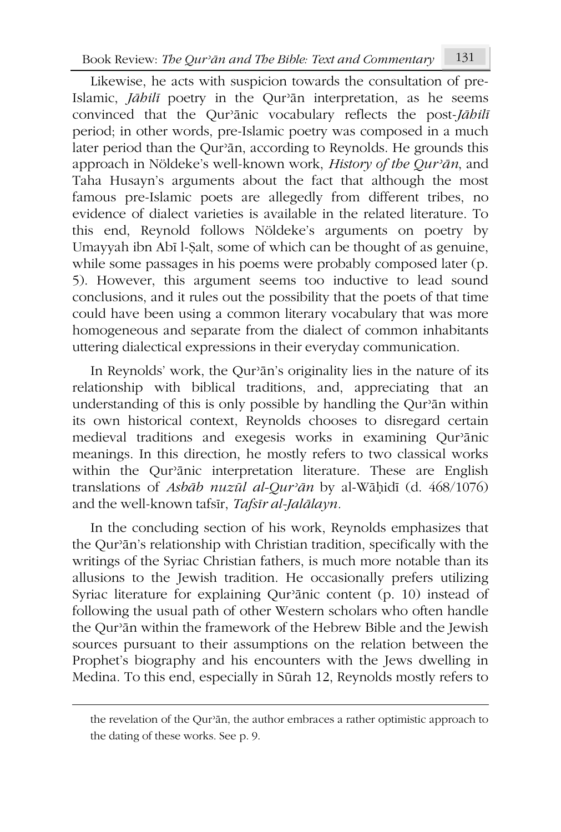Likewise, he acts with suspicion towards the consultation of pre-Islamic, *Jāhilī* poetry in the Qurʾān interpretation, as he seems convinced that the Qurʾānic vocabulary reflects the post-*Jāhilī* period; in other words, pre-Islamic poetry was composed in a much later period than the Qurʾān, according to Reynolds. He grounds this approach in Nöldeke's well-known work, *History of the Qurʾān*, and Taha Husayn's arguments about the fact that although the most famous pre-Islamic poets are allegedly from different tribes, no evidence of dialect varieties is available in the related literature. To this end, Reynold follows Nöldeke's arguments on poetry by Umayyah ibn Abī l-Ṣalt, some of which can be thought of as genuine, while some passages in his poems were probably composed later (p. 5). However, this argument seems too inductive to lead sound conclusions, and it rules out the possibility that the poets of that time could have been using a common literary vocabulary that was more homogeneous and separate from the dialect of common inhabitants uttering dialectical expressions in their everyday communication.

In Reynolds' work, the Qurʾān's originality lies in the nature of its relationship with biblical traditions, and, appreciating that an understanding of this is only possible by handling the Qurʾān within its own historical context, Reynolds chooses to disregard certain medieval traditions and exegesis works in examining Qurʾānic meanings. In this direction, he mostly refers to two classical works within the Qurʾānic interpretation literature. These are English translations of *Asbāb nuzūl al-Qurʾān* by al-Wāḥidī (d. 468/1076) and the well-known tafsīr, *Tafsīr al-Jalālayn.*

In the concluding section of his work, Reynolds emphasizes that the Qurʾān's relationship with Christian tradition, specifically with the writings of the Syriac Christian fathers, is much more notable than its allusions to the Jewish tradition. He occasionally prefers utilizing Syriac literature for explaining Qurʾānic content (p. 10) instead of following the usual path of other Western scholars who often handle the Qurʾān within the framework of the Hebrew Bible and the Jewish sources pursuant to their assumptions on the relation between the Prophet's biography and his encounters with the Jews dwelling in Medina. To this end, especially in Sūrah 12, Reynolds mostly refers to

the revelation of the Qurʾān, the author embraces a rather optimistic approach to the dating of these works. See p. 9.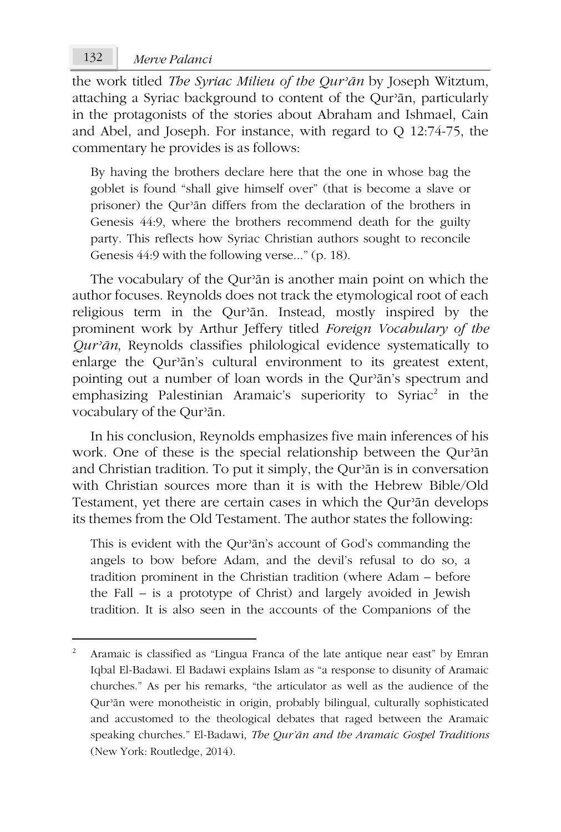## *Merve Palanci* 132

the work titled *The Syriac Milieu of the Qurʾān* by Joseph Witztum, attaching a Syriac background to content of the Qurʾān, particularly in the protagonists of the stories about Abraham and Ishmael, Cain and Abel, and Joseph. For instance, with regard to Q 12:74-75, the commentary he provides is as follows:

By having the brothers declare here that the one in whose bag the goblet is found "shall give himself over" (that is become a slave or prisoner) the Qurʾān differs from the declaration of the brothers in Genesis 44:9, where the brothers recommend death for the guilty party. This reflects how Syriac Christian authors sought to reconcile Genesis 44:9 with the following verse..." (p. 18).

The vocabulary of the Qurʾān is another main point on which the author focuses. Reynolds does not track the etymological root of each religious term in the Qurʾān. Instead, mostly inspired by the prominent work by Arthur Jeffery titled *Foreign Vocabulary of the Qurʾān*, Reynolds classifies philological evidence systematically to enlarge the Qurʾān's cultural environment to its greatest extent, pointing out a number of loan words in the Qurʾān's spectrum and emphasizing Palestinian Aramaic's superiority to Syriac<sup>2</sup> in the vocabulary of the Qurʾān.

In his conclusion, Reynolds emphasizes five main inferences of his work. One of these is the special relationship between the Qur'an and Christian tradition. To put it simply, the Qurʾān is in conversation with Christian sources more than it is with the Hebrew Bible/Old Testament, yet there are certain cases in which the Qurʾān develops its themes from the Old Testament. The author states the following:

This is evident with the Qurʾān's account of God's commanding the angels to bow before Adam, and the devil's refusal to do so, a tradition prominent in the Christian tradition (where Adam – before the Fall – is a prototype of Christ) and largely avoided in Jewish tradition. It is also seen in the accounts of the Companions of the

<sup>2</sup> Aramaic is classified as "Lingua Franca of the late antique near east" by Emran Iqbal El-Badawi. El Badawi explains Islam as "a response to disunity of Aramaic churches." As per his remarks, "the articulator as well as the audience of the Qurʾān were monotheistic in origin, probably bilingual, culturally sophisticated and accustomed to the theological debates that raged between the Aramaic speaking churches." El-Badawi, *The Qur'ān and the Aramaic Gospel Traditions* (New York: Routledge, 2014).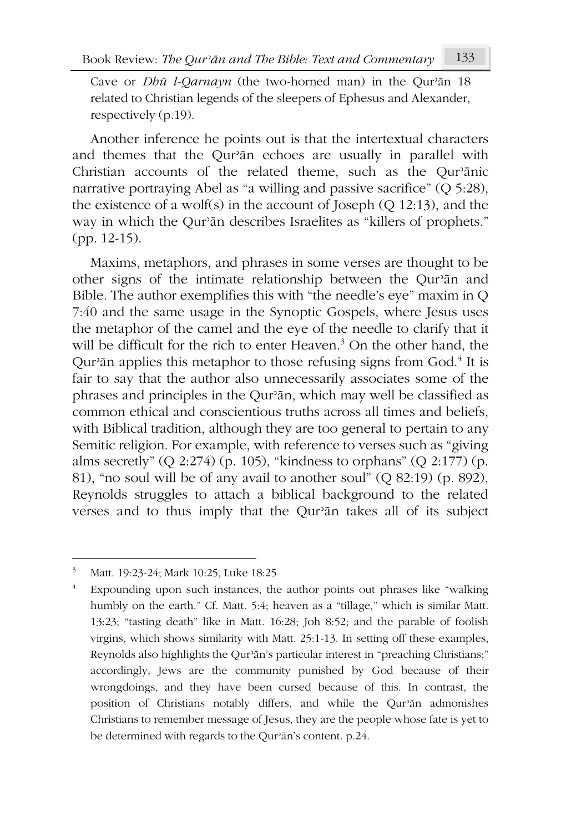Cave or *Dhū l-Qarnayn* (the two-horned man) in the Qurʾān 18 related to Christian legends of the sleepers of Ephesus and Alexander, respectively (p.19).

Another inference he points out is that the intertextual characters and themes that the Qurʾān echoes are usually in parallel with Christian accounts of the related theme, such as the Qurʾānic narrative portraying Abel as "a willing and passive sacrifice" (Q 5:28), the existence of a wolf(s) in the account of Joseph (O  $12:13$ ), and the way in which the Qurʾān describes Israelites as "killers of prophets." (pp. 12-15).

Maxims, metaphors, and phrases in some verses are thought to be other signs of the intimate relationship between the Qurʾān and Bible. The author exemplifies this with "the needle's eye" maxim in Q 7:40 and the same usage in the Synoptic Gospels, where Jesus uses the metaphor of the camel and the eye of the needle to clarify that it will be difficult for the rich to enter Heaven.<sup>3</sup> On the other hand, the Qur<sup>3</sup>an applies this metaphor to those refusing signs from God.<sup>4</sup> It is fair to say that the author also unnecessarily associates some of the phrases and principles in the Qurʾān, which may well be classified as common ethical and conscientious truths across all times and beliefs, with Biblical tradition, although they are too general to pertain to any Semitic religion. For example, with reference to verses such as "giving alms secretly" (Q 2:274) (p. 105), "kindness to orphans" (Q 2:177) (p. 81), "no soul will be of any avail to another soul" (Q 82:19) (p. 892), Reynolds struggles to attach a biblical background to the related verses and to thus imply that the Qurʾān takes all of its subject

<sup>3</sup> Matt. 19:23-24; Mark 10:25, Luke 18:25

<sup>4</sup> Expounding upon such instances, the author points out phrases like "walking humbly on the earth." Cf. Matt. 5:4; heaven as a "tillage," which is similar Matt. 13:23; "tasting death" like in Matt. 16:28; Joh 8:52; and the parable of foolish virgins, which shows similarity with Matt. 25:1-13. In setting off these examples, Reynolds also highlights the Qurʾān's particular interest in "preaching Christians;" accordingly, Jews are the community punished by God because of their wrongdoings, and they have been cursed because of this. In contrast, the position of Christians notably differs, and while the Qurʾān admonishes Christians to remember message of Jesus, they are the people whose fate is yet to be determined with regards to the Qurʾān's content. p.24.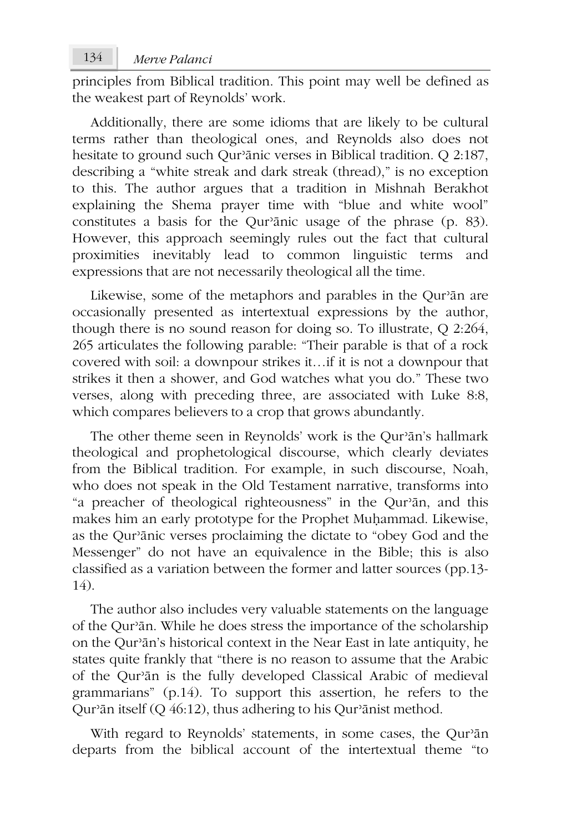principles from Biblical tradition. This point may well be defined as the weakest part of Reynolds' work.

Additionally, there are some idioms that are likely to be cultural terms rather than theological ones, and Reynolds also does not hesitate to ground such Qurʾānic verses in Biblical tradition. Q 2:187, describing a "white streak and dark streak (thread)," is no exception to this. The author argues that a tradition in Mishnah Berakhot explaining the Shema prayer time with "blue and white wool" constitutes a basis for the Qurʾānic usage of the phrase (p. 83). However, this approach seemingly rules out the fact that cultural proximities inevitably lead to common linguistic terms and expressions that are not necessarily theological all the time.

Likewise, some of the metaphors and parables in the Qurʾān are occasionally presented as intertextual expressions by the author, though there is no sound reason for doing so. To illustrate, Q 2:264, 265 articulates the following parable: "Their parable is that of a rock covered with soil: a downpour strikes it…if it is not a downpour that strikes it then a shower, and God watches what you do." These two verses, along with preceding three, are associated with Luke 8:8, which compares believers to a crop that grows abundantly.

The other theme seen in Reynolds' work is the Qurʾān's hallmark theological and prophetological discourse, which clearly deviates from the Biblical tradition. For example, in such discourse, Noah, who does not speak in the Old Testament narrative, transforms into "a preacher of theological righteousness" in the Qurʾān, and this makes him an early prototype for the Prophet Muḥammad. Likewise, as the Qurʾānic verses proclaiming the dictate to "obey God and the Messenger" do not have an equivalence in the Bible; this is also classified as a variation between the former and latter sources (pp.13-  $14$ ).

The author also includes very valuable statements on the language of the Qurʾān. While he does stress the importance of the scholarship on the Qurʾān's historical context in the Near East in late antiquity, he states quite frankly that "there is no reason to assume that the Arabic of the Qurʾān is the fully developed Classical Arabic of medieval grammarians" (p.14). To support this assertion, he refers to the Qurʾān itself (Q 46:12), thus adhering to his Qurʾānist method.

With regard to Reynolds' statements, in some cases, the Qur'ān departs from the biblical account of the intertextual theme "to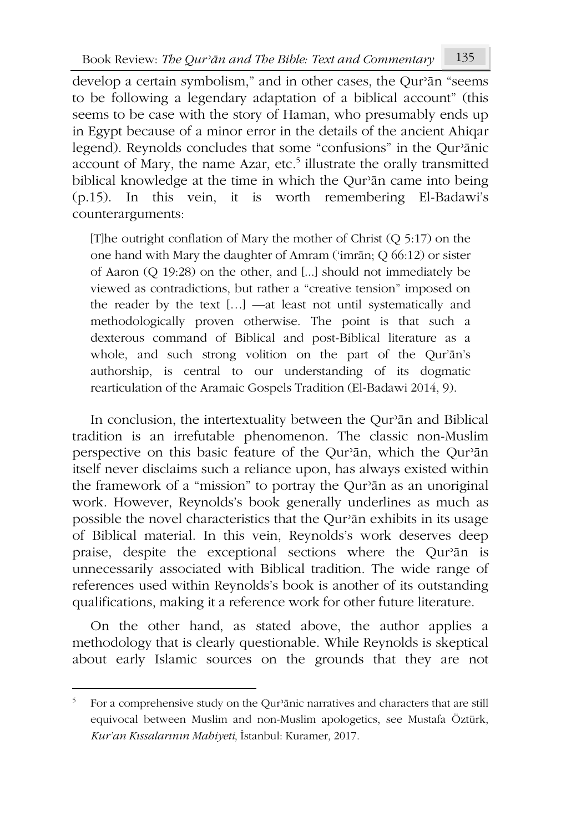develop a certain symbolism," and in other cases, the Qurʾān "seems to be following a legendary adaptation of a biblical account" (this seems to be case with the story of Haman, who presumably ends up in Egypt because of a minor error in the details of the ancient Ahiqar legend). Reynolds concludes that some "confusions" in the Qurʾānic account of Mary, the name Azar, etc.<sup>5</sup> illustrate the orally transmitted biblical knowledge at the time in which the Qurʾān came into being (p.15). In this vein, it is worth remembering El-Badawi's counterarguments:

[T]he outright conflation of Mary the mother of Christ (Q 5:17) on the one hand with Mary the daughter of Amram ('imrān; Q 66:12) or sister of Aaron (Q 19:28) on the other, and [...] should not immediately be viewed as contradictions, but rather a "creative tension" imposed on the reader by the text […] —at least not until systematically and methodologically proven otherwise. The point is that such a dexterous command of Biblical and post-Biblical literature as a whole, and such strong volition on the part of the Qur'ān's authorship, is central to our understanding of its dogmatic rearticulation of the Aramaic Gospels Tradition (El-Badawi 2014, 9).

In conclusion, the intertextuality between the Qurʾān and Biblical tradition is an irrefutable phenomenon. The classic non-Muslim perspective on this basic feature of the Qurʾān, which the Qurʾān itself never disclaims such a reliance upon, has always existed within the framework of a "mission" to portray the Qurʾān as an unoriginal work. However, Reynolds's book generally underlines as much as possible the novel characteristics that the Qurʾān exhibits in its usage of Biblical material. In this vein, Reynolds's work deserves deep praise, despite the exceptional sections where the Qurʾān is unnecessarily associated with Biblical tradition. The wide range of references used within Reynolds's book is another of its outstanding qualifications, making it a reference work for other future literature.

On the other hand, as stated above, the author applies a methodology that is clearly questionable. While Reynolds is skeptical about early Islamic sources on the grounds that they are not

<sup>5</sup> For a comprehensive study on the Qurʾānic narratives and characters that are still equivocal between Muslim and non-Muslim apologetics, see Mustafa Öztürk, *Kur'an Kıssalarının Mahiyeti*, İstanbul: Kuramer, 2017.